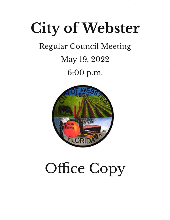## City of Webster

### Regular Council Meeting

## May 19,2022

6:00 p.m.



# Office Copy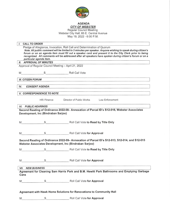

### AGENDA

CITY OF WEBSTER Regular Council Meeting Webster City Hall, 85 E. Central Avenue May 19,2022 - 6:00 P.M.

| $\mathbf{L}$                                                                                                                                                                                                                                                                                                                                                                                                                             | <b>CALL TO ORDER</b>                                 |                                                                                                                    |  |  |  |  |
|------------------------------------------------------------------------------------------------------------------------------------------------------------------------------------------------------------------------------------------------------------------------------------------------------------------------------------------------------------------------------------------------------------------------------------------|------------------------------------------------------|--------------------------------------------------------------------------------------------------------------------|--|--|--|--|
| Pledge of Allegiance, Invocation, Roll Call and Determination of Quorum<br>Note. All public comment will be limited to 3 minutes per speaker. Anyone wishing to speak during citizen's<br>forum or on an agenda item must fill out a speaker card and present it to the City Clerk prior to being<br>recognized. All comments will be addressed after all speakers have spoken during citizen's forum or on a<br>particular agenda item. |                                                      |                                                                                                                    |  |  |  |  |
|                                                                                                                                                                                                                                                                                                                                                                                                                                          | <b>II. APPROVAL OF MINUTES</b>                       |                                                                                                                    |  |  |  |  |
|                                                                                                                                                                                                                                                                                                                                                                                                                                          | Approval of Regular Council Meeting - April 21, 2022 |                                                                                                                    |  |  |  |  |
|                                                                                                                                                                                                                                                                                                                                                                                                                                          |                                                      |                                                                                                                    |  |  |  |  |
|                                                                                                                                                                                                                                                                                                                                                                                                                                          | M S S Roll Call Vote                                 |                                                                                                                    |  |  |  |  |
|                                                                                                                                                                                                                                                                                                                                                                                                                                          | <b>III. CITIZEN FORUM</b>                            | - A The Market A The Market All Million Service A The Market A The Market A The Market A The Market A The Market A |  |  |  |  |
| IV.                                                                                                                                                                                                                                                                                                                                                                                                                                      | <b>CONSENT AGENDA</b>                                | <u> 1989 - Gerald Marian, mandatar a</u> shekara 1989 a shekara 1980                                               |  |  |  |  |
|                                                                                                                                                                                                                                                                                                                                                                                                                                          | <b>V. CORRESPONDENCE TO NOTE</b>                     |                                                                                                                    |  |  |  |  |
|                                                                                                                                                                                                                                                                                                                                                                                                                                          | HR/Finance                                           | Director of Public Works Law Enforcement                                                                           |  |  |  |  |
|                                                                                                                                                                                                                                                                                                                                                                                                                                          | <b>VI. PUBLIC HEARINGS</b>                           |                                                                                                                    |  |  |  |  |
|                                                                                                                                                                                                                                                                                                                                                                                                                                          |                                                      | Second Reading of Ordinance 2022-08- Annexation of Parcel ID's S12-016, Webster Associates                         |  |  |  |  |
| Development, Inc (Bindraban Sarjoo)                                                                                                                                                                                                                                                                                                                                                                                                      |                                                      |                                                                                                                    |  |  |  |  |
|                                                                                                                                                                                                                                                                                                                                                                                                                                          |                                                      |                                                                                                                    |  |  |  |  |
|                                                                                                                                                                                                                                                                                                                                                                                                                                          | M                                                    | S Roll Call Vote to Read by Title Only                                                                             |  |  |  |  |
|                                                                                                                                                                                                                                                                                                                                                                                                                                          | M                                                    | S Roll Call Vote for Approval                                                                                      |  |  |  |  |
| Second Reading of Ordinance 2022-09- Annexation of Parcel ID's S12-013, S12-014, and S12-015<br>Webster Associates Development, Inc (Bindraban Sarjoo)                                                                                                                                                                                                                                                                                   |                                                      |                                                                                                                    |  |  |  |  |
|                                                                                                                                                                                                                                                                                                                                                                                                                                          |                                                      | M S S Roll Call Vote to Read by Title Only                                                                         |  |  |  |  |
|                                                                                                                                                                                                                                                                                                                                                                                                                                          |                                                      |                                                                                                                    |  |  |  |  |
|                                                                                                                                                                                                                                                                                                                                                                                                                                          | M                                                    | S Roll Call Vote for Approval                                                                                      |  |  |  |  |
|                                                                                                                                                                                                                                                                                                                                                                                                                                          | <b>VII. NEW BUSINESS</b>                             |                                                                                                                    |  |  |  |  |
|                                                                                                                                                                                                                                                                                                                                                                                                                                          | Cans                                                 | Agreement for Cleaning Sam Harris Park and B.M. Hewitt Park Bathrooms and Emptying Garbage                         |  |  |  |  |
|                                                                                                                                                                                                                                                                                                                                                                                                                                          | $M_{\rm{max}}$                                       | S Roll Call Vote for Approval                                                                                      |  |  |  |  |
| Agreement with Hawk Home Solutions for Renovations to Community Hall                                                                                                                                                                                                                                                                                                                                                                     |                                                      |                                                                                                                    |  |  |  |  |
| M                                                                                                                                                                                                                                                                                                                                                                                                                                        | S                                                    | Roll Call Vote for Approval                                                                                        |  |  |  |  |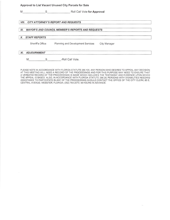#### Approval to List Vacant Unused City Parcels for Sale

M S S Roll Call Vote for Approval VIII. CITY ATTORNEY'S REPORT AND REQUESTS IX. MAYOR'S AND COUNCIL MEMBER'S REPORTS AND REQUESTS X. STAFFREPORTS Sheriff's Office Planning and Development Services City Manager XI. ADJOURNMENT M S -Roll Call Vote.

PLEASE NOTE IN ACCORDANCE WITH FLORIDA STATUTE 286.105, ANY PERSON WHO DESIRES TO APPEAL ANY DECISION AT THIS MEETING WILL NEED A RECORD OF THE PROCEEDINGS AND FOR THIS PURPOSE MAY NEED TO ENSURE THAT A VERBATIM RECORD OF THE PROCEEDINGS IS MADE WHICH INCLUDES THE TESTIMONY AND EVIDENCE UPON WHICH THE APPEAL lS BASEO. ALSO, lN ACCORDANCE WTH FLORIDA STATUTE 286.26: PERSONS WITH DISABILITIES NEEDING ASSISTANCE TO PARTICIPATE IN ANY OF THE PROCEEDINGS SHOULD CONTACT THE OFFICE OF THE CITY CLERK; 85 E. CENTRAL AVENUE; WEBSTER, FLORIDA; (352) 793-2073; 48 HOURS IN ADVANCE.